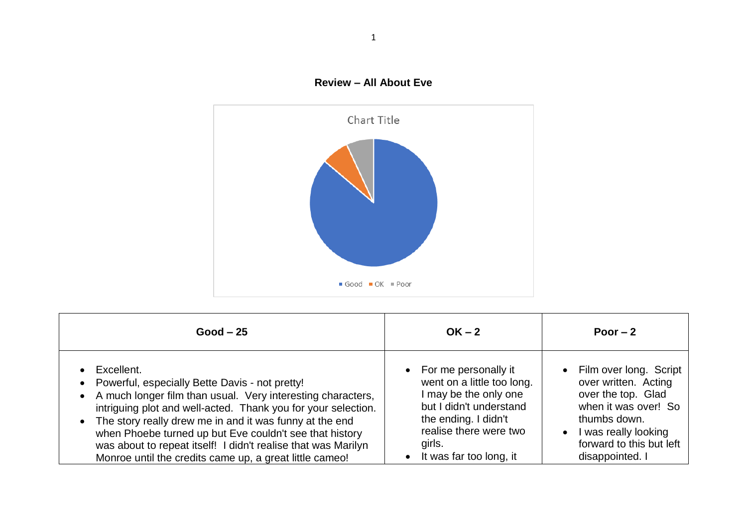



| $Good - 25$                                                                                                                                                                                                                                                                                                                                                                                                                                    | $OK - 2$                                                                                                                                                                                        | Poor $-2$                                                                                                                                                                                          |
|------------------------------------------------------------------------------------------------------------------------------------------------------------------------------------------------------------------------------------------------------------------------------------------------------------------------------------------------------------------------------------------------------------------------------------------------|-------------------------------------------------------------------------------------------------------------------------------------------------------------------------------------------------|----------------------------------------------------------------------------------------------------------------------------------------------------------------------------------------------------|
| Excellent.<br>Powerful, especially Bette Davis - not pretty!<br>A much longer film than usual. Very interesting characters,<br>intriguing plot and well-acted. Thank you for your selection.<br>The story really drew me in and it was funny at the end<br>when Phoebe turned up but Eve couldn't see that history<br>was about to repeat itself! I didn't realise that was Marilyn<br>Monroe until the credits came up, a great little cameo! | • For me personally it<br>went on a little too long.<br>I may be the only one<br>but I didn't understand<br>the ending. I didn't<br>realise there were two<br>girls.<br>It was far too long, it | • Film over long. Script<br>over written. Acting<br>over the top. Glad<br>when it was over! So<br>thumbs down.<br>I was really looking<br>$\bullet$<br>forward to this but left<br>disappointed. I |